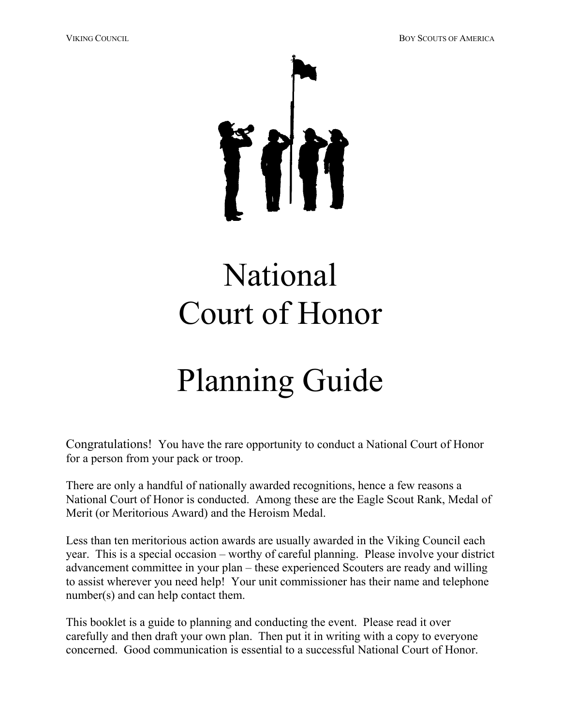VIKING COUNCIL BOY SCOUTS OF AMERICA



# National Court of Honor

# Planning Guide

Congratulations! You have the rare opportunity to conduct a National Court of Honor for a person from your pack or troop.

There are only a handful of nationally awarded recognitions, hence a few reasons a National Court of Honor is conducted. Among these are the Eagle Scout Rank, Medal of Merit (or Meritorious Award) and the Heroism Medal.

Less than ten meritorious action awards are usually awarded in the Viking Council each year. This is a special occasion – worthy of careful planning. Please involve your district advancement committee in your plan – these experienced Scouters are ready and willing to assist wherever you need help! Your unit commissioner has their name and telephone number(s) and can help contact them.

This booklet is a guide to planning and conducting the event. Please read it over carefully and then draft your own plan. Then put it in writing with a copy to everyone concerned. Good communication is essential to a successful National Court of Honor.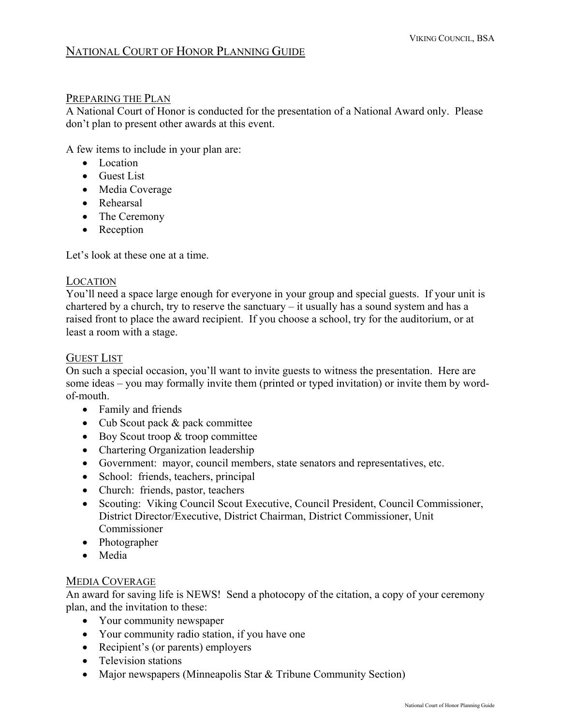# NATIONAL COURT OF HONOR PLANNING GUIDE

#### PREPARING THE PLAN

A National Court of Honor is conducted for the presentation of a National Award only. Please don't plan to present other awards at this event.

A few items to include in your plan are:

- Location
- Guest List
- Media Coverage
- Rehearsal
- The Ceremony
- Reception

Let's look at these one at a time.

#### LOCATION

You'll need a space large enough for everyone in your group and special guests. If your unit is chartered by a church, try to reserve the sanctuary – it usually has a sound system and has a raised front to place the award recipient. If you choose a school, try for the auditorium, or at least a room with a stage.

#### GUEST LIST

On such a special occasion, you'll want to invite guests to witness the presentation. Here are some ideas – you may formally invite them (printed or typed invitation) or invite them by wordof-mouth.

- Family and friends
- Cub Scout pack & pack committee
- Boy Scout troop & troop committee
- Chartering Organization leadership
- Government: mayor, council members, state senators and representatives, etc.
- School: friends, teachers, principal
- Church: friends, pastor, teachers
- Scouting: Viking Council Scout Executive, Council President, Council Commissioner, District Director/Executive, District Chairman, District Commissioner, Unit Commissioner
- Photographer
- Media

#### MEDIA COVERAGE

An award for saving life is NEWS! Send a photocopy of the citation, a copy of your ceremony plan, and the invitation to these:

- Your community newspaper
- Your community radio station, if you have one
- Recipient's (or parents) employers
- Television stations
- Major newspapers (Minneapolis Star & Tribune Community Section)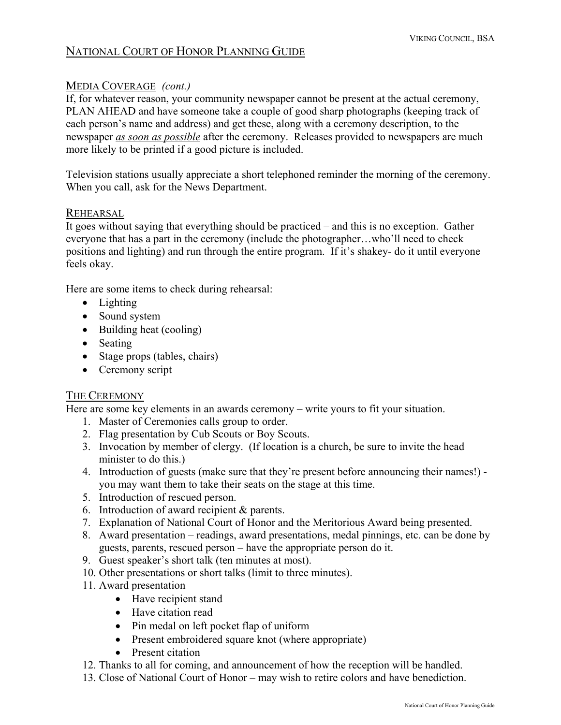# NATIONAL COURT OF HONOR PLANNING GUIDE

#### MEDIA COVERAGE *(cont.)*

If, for whatever reason, your community newspaper cannot be present at the actual ceremony, PLAN AHEAD and have someone take a couple of good sharp photographs (keeping track of each person's name and address) and get these, along with a ceremony description, to the newspaper *as soon as possible* after the ceremony. Releases provided to newspapers are much more likely to be printed if a good picture is included.

Television stations usually appreciate a short telephoned reminder the morning of the ceremony. When you call, ask for the News Department.

#### REHEARSAL

It goes without saying that everything should be practiced – and this is no exception. Gather everyone that has a part in the ceremony (include the photographer…who'll need to check positions and lighting) and run through the entire program. If it's shakey- do it until everyone feels okay.

Here are some items to check during rehearsal:

- Lighting
- Sound system
- Building heat (cooling)
- Seating
- Stage props (tables, chairs)
- Ceremony script

#### THE CEREMONY

Here are some key elements in an awards ceremony – write yours to fit your situation.

- 1. Master of Ceremonies calls group to order.
- 2. Flag presentation by Cub Scouts or Boy Scouts.
- 3. Invocation by member of clergy. (If location is a church, be sure to invite the head minister to do this.)
- 4. Introduction of guests (make sure that they're present before announcing their names!) you may want them to take their seats on the stage at this time.
- 5. Introduction of rescued person.
- 6. Introduction of award recipient & parents.
- 7. Explanation of National Court of Honor and the Meritorious Award being presented.
- 8. Award presentation readings, award presentations, medal pinnings, etc. can be done by guests, parents, rescued person – have the appropriate person do it.
- 9. Guest speaker's short talk (ten minutes at most).
- 10. Other presentations or short talks (limit to three minutes).
- 11. Award presentation
	- Have recipient stand
	- Have citation read
	- Pin medal on left pocket flap of uniform
	- Present embroidered square knot (where appropriate)
	- Present citation
- 12. Thanks to all for coming, and announcement of how the reception will be handled.
- 13. Close of National Court of Honor may wish to retire colors and have benediction.